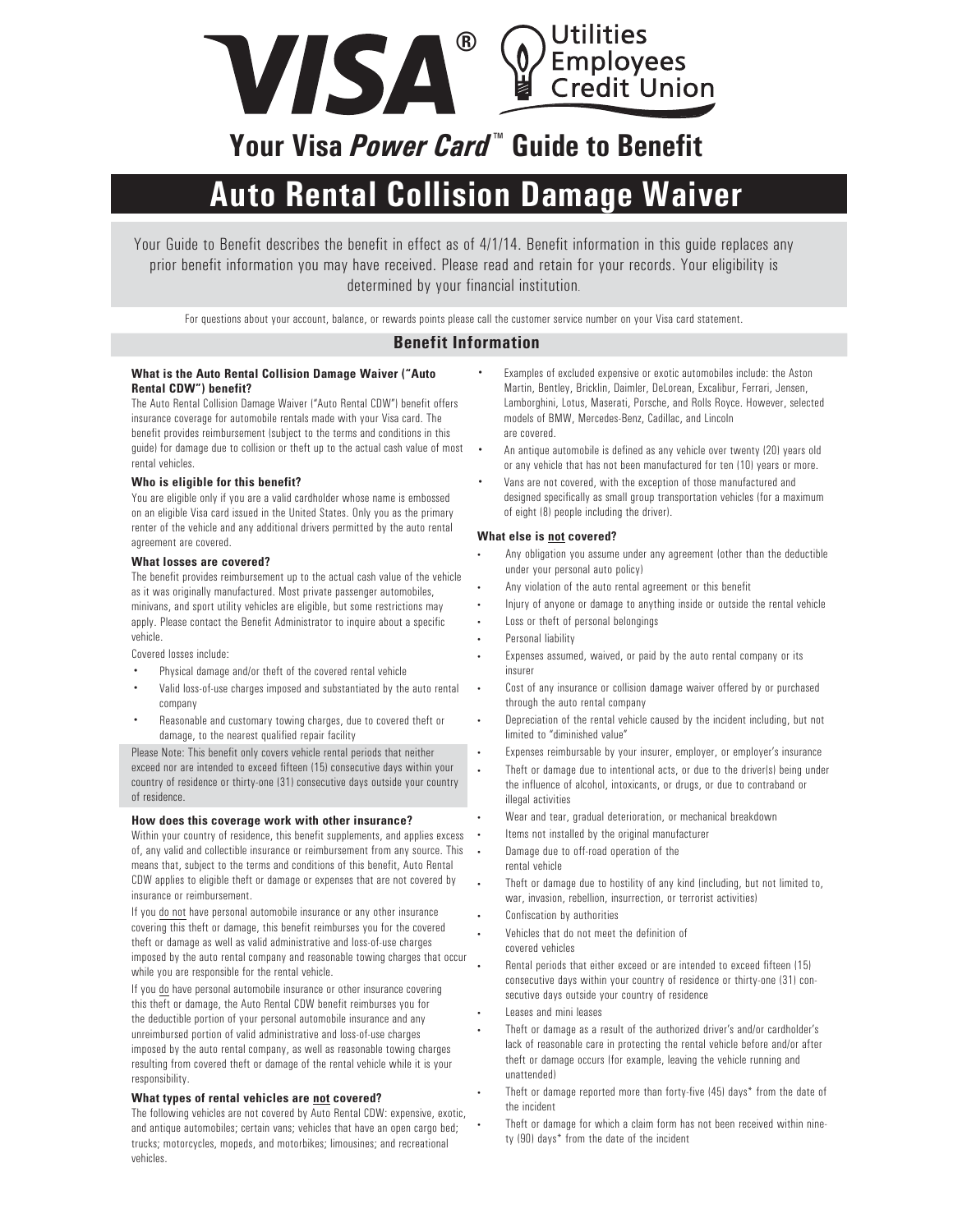

## **Your Visa** *Power Card* **™ Guide to Benefit**

# **Auto Rental Collision Damage Waiver**

Your Guide to Benefit describes the benefit in effect as of 4/1/14. Benefit information in this guide replaces any prior benefit information you may have received. Please read and retain for your records. Your eligibility is determined by your financial institution.

For questions about your account, balance, or rewards points please call the customer service number on your Visa card statement.

### **Benefit Information**

#### **What is the Auto Rental Collision Damage Waiver ("Auto Rental CDW") benefit?**

The Auto Rental Collision Damage Waiver ("Auto Rental CDW") benefit offers insurance coverage for automobile rentals made with your Visa card. The benefit provides reimbursement (subject to the terms and conditions in this guide) for damage due to collision or theft up to the actual cash value of most rental vehicles.

#### **Who is eligible for this benefit?**

You are eligible only if you are a valid cardholder whose name is embossed on an eligible Visa card issued in the United States. Only you as the primary renter of the vehicle and any additional drivers permitted by the auto rental agreement are covered.

#### **What losses are covered?**

The benefit provides reimbursement up to the actual cash value of the vehicle as it was originally manufactured. Most private passenger automobiles, minivans, and sport utility vehicles are eligible, but some restrictions may apply. Please contact the Benefit Administrator to inquire about a specific vehicle.

Covered losses include:

- Physical damage and/or theft of the covered rental vehicle
- Valid loss-of-use charges imposed and substantiated by the auto rental company
- Reasonable and customary towing charges, due to covered theft or damage, to the nearest qualified repair facility

Please Note: This benefit only covers vehicle rental periods that neither exceed nor are intended to exceed fifteen (15) consecutive days within your country of residence or thirty-one (31) consecutive days outside your country of residence.

#### **How does this coverage work with other insurance?**

Within your country of residence, this benefit supplements, and applies excess of, any valid and collectible insurance or reimbursement from any source. This means that, subject to the terms and conditions of this benefit, Auto Rental CDW applies to eligible theft or damage or expenses that are not covered by insurance or reimbursement.

If you do not have personal automobile insurance or any other insurance covering this theft or damage, this benefit reimburses you for the covered theft or damage as well as valid administrative and loss-of-use charges imposed by the auto rental company and reasonable towing charges that occur while you are responsible for the rental vehicle.

If you do have personal automobile insurance or other insurance covering this theft or damage, the Auto Rental CDW benefit reimburses you for the deductible portion of your personal automobile insurance and any unreimbursed portion of valid administrative and loss-of-use charges imposed by the auto rental company, as well as reasonable towing charges resulting from covered theft or damage of the rental vehicle while it is your responsibility.

#### **What types of rental vehicles are not covered?**

The following vehicles are not covered by Auto Rental CDW: expensive, exotic, and antique automobiles; certain vans; vehicles that have an open cargo bed; trucks; motorcycles, mopeds, and motorbikes; limousines; and recreational vehicles.

- Examples of excluded expensive or exotic automobiles include: the Aston Martin, Bentley, Bricklin, Daimler, DeLorean, Excalibur, Ferrari, Jensen, Lamborghini, Lotus, Maserati, Porsche, and Rolls Royce. However, selected models of BMW, Mercedes-Benz, Cadillac, and Lincoln are covered.
- An antique automobile is defined as any vehicle over twenty (20) years old or any vehicle that has not been manufactured for ten (10) years or more.
- Vans are not covered, with the exception of those manufactured and designed specifically as small group transportation vehicles (for a maximum of eight (8) people including the driver).

#### **What else is not covered?**

- Any obligation you assume under any agreement (other than the deductible under your personal auto policy)
- Any violation of the auto rental agreement or this benefit
- Injury of anyone or damage to anything inside or outside the rental vehicle
- Loss or theft of personal belongings
- Personal liability
- Expenses assumed, waived, or paid by the auto rental company or its insurer
- Cost of any insurance or collision damage waiver offered by or purchased through the auto rental company
- Depreciation of the rental vehicle caused by the incident including, but not limited to "diminished value"
- Expenses reimbursable by your insurer, employer, or employer's insurance
- Theft or damage due to intentional acts, or due to the driver(s) being under the influence of alcohol, intoxicants, or drugs, or due to contraband or illegal activities
- Wear and tear, gradual deterioration, or mechanical breakdown
- Items not installed by the original manufacturer
- Damage due to off-road operation of the rental vehicle
- Theft or damage due to hostility of any kind (including, but not limited to, war, invasion, rebellion, insurrection, or terrorist activities)
- Confiscation by authorities
- Vehicles that do not meet the definition of covered vehicles
- Rental periods that either exceed or are intended to exceed fifteen (15) consecutive days within your country of residence or thirty-one (31) consecutive days outside your country of residence
- Leases and mini leases
- Theft or damage as a result of the authorized driver's and/or cardholder's lack of reasonable care in protecting the rental vehicle before and/or after theft or damage occurs (for example, leaving the vehicle running and unattended)
- Theft or damage reported more than forty-five (45) days\* from the date of the incident
- Theft or damage for which a claim form has not been received within ninety (90) days\* from the date of the incident